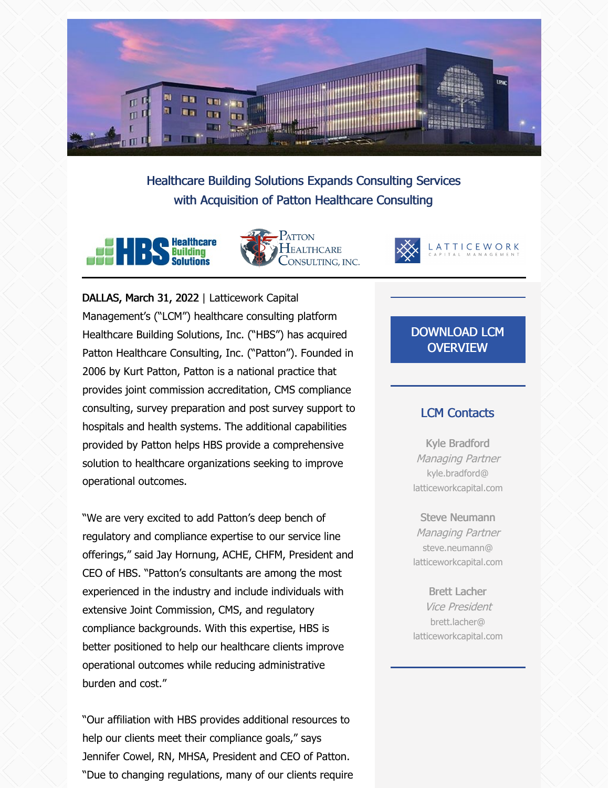

Healthcare Building Solutions Expands Consulting Services with Acquisition of Patton Healthcare Consulting







DALLAS, March 31, 2022 | Latticework Capital Management's ("LCM") healthcare consulting platform Healthcare Building Solutions, Inc. ("HBS") has acquired Patton Healthcare Consulting, Inc. ("Patton"). Founded in 2006 by Kurt Patton, Patton is a national practice that provides joint commission accreditation, CMS compliance consulting, survey preparation and post survey support to hospitals and health systems. The additional capabilities provided by Patton helps HBS provide a comprehensive solution to healthcare organizations seeking to improve operational outcomes.

"We are very excited to add Patton's deep bench of regulatory and compliance expertise to our service line offerings," said Jay Hornung, ACHE, CHFM, President and CEO of HBS. "Patton's consultants are among the most experienced in the industry and include individuals with extensive Joint Commission, CMS, and regulatory compliance backgrounds. With this expertise, HBS is better positioned to help our healthcare clients improve operational outcomes while reducing administrative burden and cost."

"Our affiliation with HBS provides additional resources to help our clients meet their compliance goals," says Jennifer Cowel, RN, MHSA, President and CEO of Patton. "Due to changing regulations, many of our clients require

## [DOWNLOAD](https://files.constantcontact.com/3508f4be701/159ea609-ff3d-4a3f-875c-0652cd8e0e57.pdf?rdr=true) LCM **OVERVIEW**

#### LCM Contacts

Kyle Bradford Managing Partner kyle.bradford@ latticeworkcapital.com

Steve Neumann Managing Partner steve.neumann@ latticeworkcapital.com

Brett Lacher Vice President brett.lacher@ latticeworkcapital.com